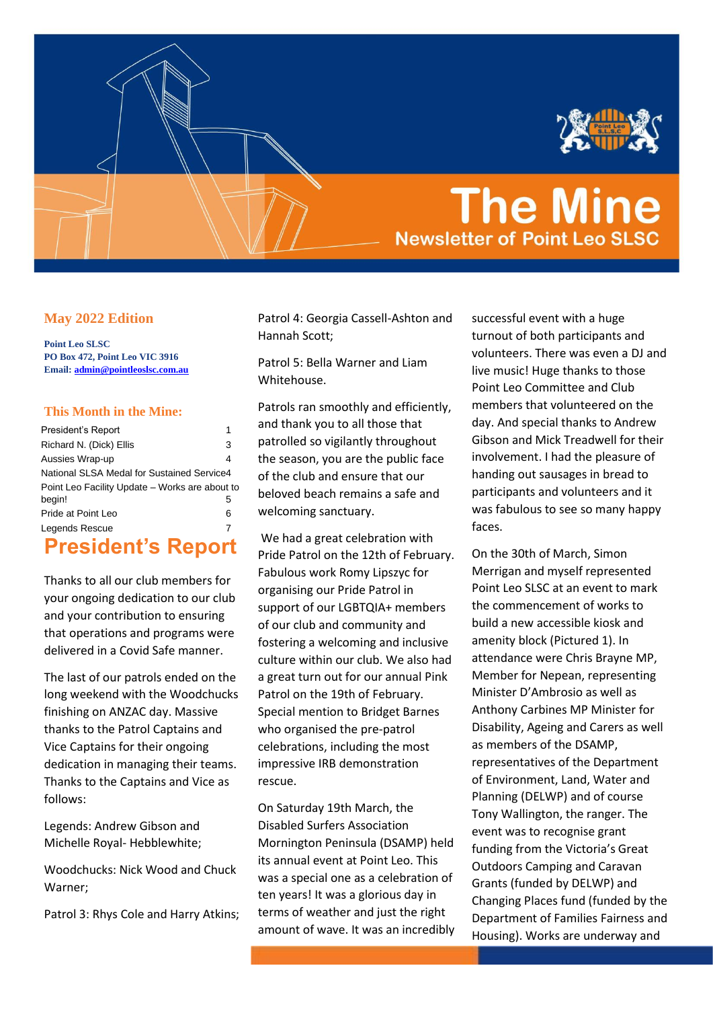

# **The Mine Newsletter of Point Leo SLSC**

#### **May 2022 Edition**

**Point Leo SLSC PO Box 472, Point Leo VIC 3916 Email[: admin@pointleoslsc.com.au](mailto:admin@pointleoslsc.com.au)**

#### **This Month in the Mine:**

| President's Report                             | 1 |
|------------------------------------------------|---|
| Richard N. (Dick) Ellis                        | 3 |
| Aussies Wrap-up                                | 4 |
| National SLSA Medal for Sustained Service4     |   |
| Point Leo Facility Update – Works are about to |   |
| begin!                                         | 5 |
| Pride at Point Leo                             | 6 |
| Legends Rescue                                 | 7 |
|                                                |   |

### <span id="page-0-0"></span>**President's Report**

Thanks to all our club members for your ongoing dedication to our club and your contribution to ensuring that operations and programs were delivered in a Covid Safe manner.

The last of our patrols ended on the long weekend with the Woodchucks finishing on ANZAC day. Massive thanks to the Patrol Captains and Vice Captains for their ongoing dedication in managing their teams. Thanks to the Captains and Vice as follows:

Legends: Andrew Gibson and Michelle Royal- Hebblewhite;

Woodchucks: Nick Wood and Chuck Warner;

Patrol 3: Rhys Cole and Harry Atkins;

Patrol 4: Georgia Cassell-Ashton and Hannah Scott;

Patrol 5: Bella Warner and Liam Whitehouse.

Patrols ran smoothly and efficiently, and thank you to all those that patrolled so vigilantly throughout the season, you are the public face of the club and ensure that our beloved beach remains a safe and welcoming sanctuary.

We had a great celebration with Pride Patrol on the 12th of February. Fabulous work Romy Lipszyc for organising our Pride Patrol in support of our LGBTQIA+ members of our club and community and fostering a welcoming and inclusive culture within our club. We also had a great turn out for our annual Pink Patrol on the 19th of February. Special mention to Bridget Barnes who organised the pre-patrol celebrations, including the most impressive IRB demonstration rescue.

On Saturday 19th March, the Disabled Surfers Association Mornington Peninsula (DSAMP) held its annual event at Point Leo. This was a special one as a celebration of ten years! It was a glorious day in terms of weather and just the right amount of wave. It was an incredibly

successful event with a huge turnout of both participants and volunteers. There was even a DJ and live music! Huge thanks to those Point Leo Committee and Club members that volunteered on the day. And special thanks to Andrew Gibson and Mick Treadwell for their involvement. I had the pleasure of handing out sausages in bread to participants and volunteers and it was fabulous to see so many happy faces.

On the 30th of March, Simon Merrigan and myself represented Point Leo SLSC at an event to mark the commencement of works to build a new accessible kiosk and amenity block [\(Pictured 1\)](#page-1-0). In attendance were Chris Brayne MP, Member for Nepean, representing Minister D'Ambrosio as well as Anthony Carbines MP Minister for Disability, Ageing and Carers as well as members of the DSAMP, representatives of the Department of Environment, Land, Water and Planning (DELWP) and of course Tony Wallington, the ranger. The event was to recognise grant funding from the Victoria's Great Outdoors Camping and Caravan Grants (funded by DELWP) and Changing Places fund (funded by the Department of Families Fairness and Housing). Works are underway and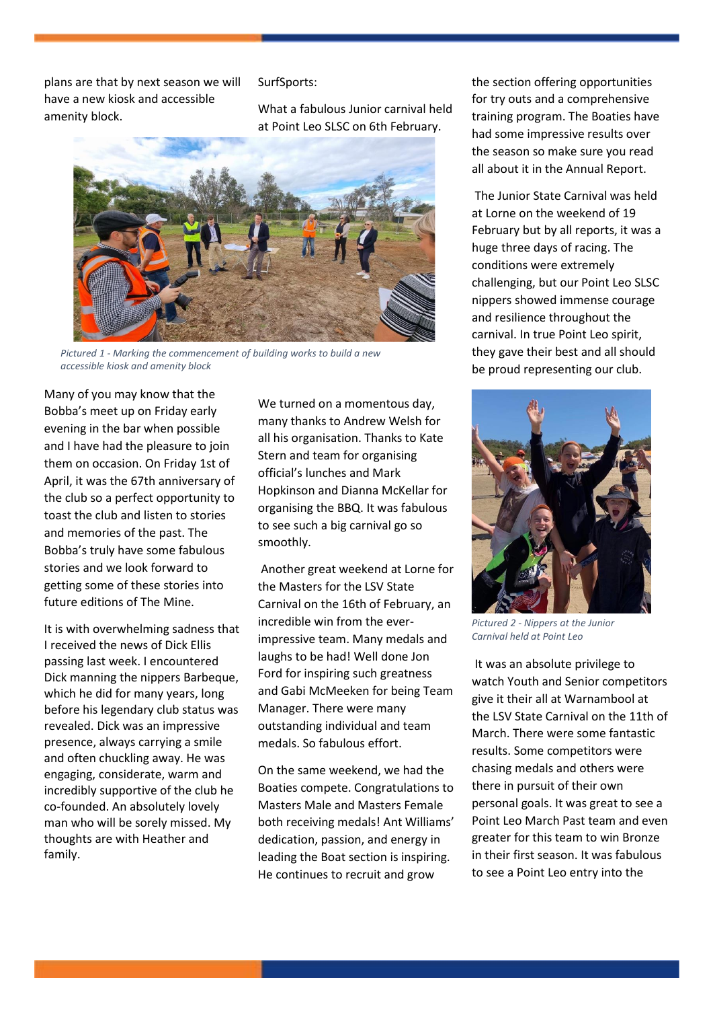plans are that by next season we will have a new kiosk and accessible amenity block.

#### SurfSports:

What a fabulous Junior carnival held at Point Leo SLSC on 6th February.



*Pictured 1 - Marking the commencement of building works to build a new accessible kiosk and amenity block*

<span id="page-1-0"></span>Many of you may know that the Bobba's meet up on Friday early evening in the bar when possible and I have had the pleasure to join them on occasion. On Friday 1st of April, it was the 67th anniversary of the club so a perfect opportunity to toast the club and listen to stories and memories of the past. The Bobba's truly have some fabulous stories and we look forward to getting some of these stories into future editions of The Mine.

It is with overwhelming sadness that I received the news of Dick Ellis passing last week. I encountered Dick manning the nippers Barbeque, which he did for many years, long before his legendary club status was revealed. Dick was an impressive presence, always carrying a smile and often chuckling away. He was engaging, considerate, warm and incredibly supportive of the club he co-founded. An absolutely lovely man who will be sorely missed. My thoughts are with Heather and family.

We turned on a momentous day, many thanks to Andrew Welsh for all his organisation. Thanks to Kate Stern and team for organising official's lunches and Mark Hopkinson and Dianna McKellar for organising the BBQ. It was fabulous to see such a big carnival go so smoothly.

Another great weekend at Lorne for the Masters for the LSV State Carnival on the 16th of February, an incredible win from the everimpressive team. Many medals and laughs to be had! Well done Jon Ford for inspiring such greatness and Gabi McMeeken for being Team Manager. There were many outstanding individual and team medals. So fabulous effort.

On the same weekend, we had the Boaties compete. Congratulations to Masters Male and Masters Female both receiving medals! Ant Williams' dedication, passion, and energy in leading the Boat section is inspiring. He continues to recruit and grow

the section offering opportunities for try outs and a comprehensive training program. The Boaties have had some impressive results over the season so make sure you read all about it in the Annual Report.

The Junior State Carnival was held at Lorne on the weekend of 19 February but by all reports, it was a huge three days of racing. The conditions were extremely challenging, but our Point Leo SLSC nippers showed immense courage and resilience throughout the carnival. In true Point Leo spirit, they gave their best and all should be proud representing our club.



*Pictured 2 - Nippers at the Junior Carnival held at Point Leo*

It was an absolute privilege to watch Youth and Senior competitors give it their all at Warnambool at the LSV State Carnival on the 11th of March. There were some fantastic results. Some competitors were chasing medals and others were there in pursuit of their own personal goals. It was great to see a Point Leo March Past team and even greater for this team to win Bronze in their first season. It was fabulous to see a Point Leo entry into the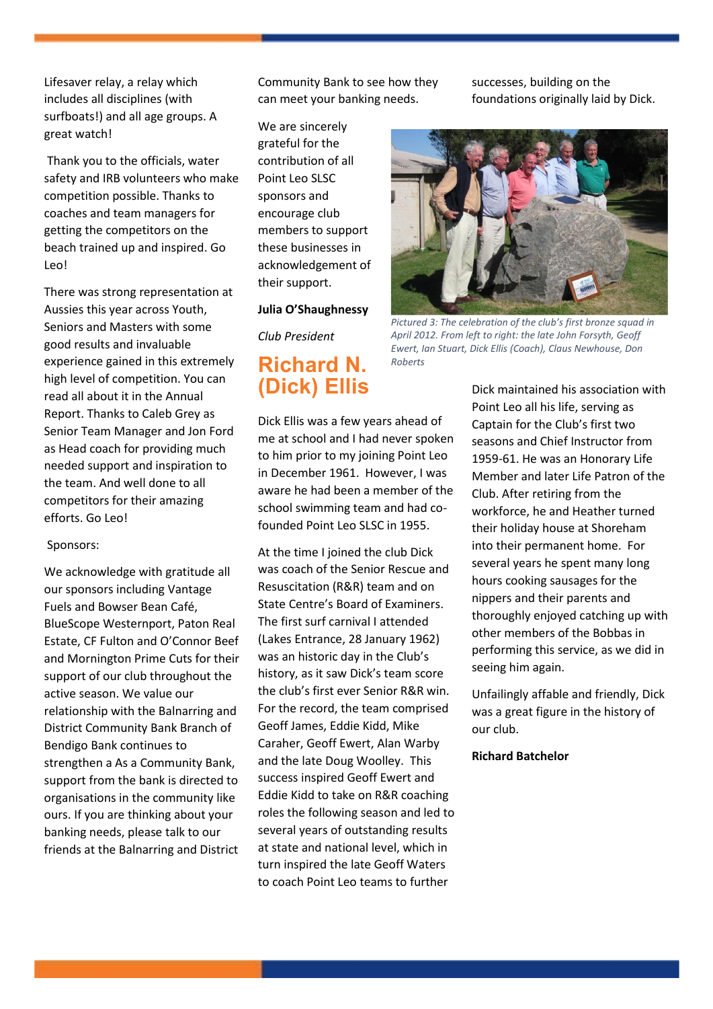Lifesaver relay, a relay which includes all disciplines (with surfboats!) and all age groups. A great watch!

Thank you to the officials, water safety and IRB volunteers who make competition possible. Thanks to coaches and team managers for getting the competitors on the beach trained up and inspired. Go Leo!

There was strong representation at Aussies this year across Youth, Seniors and Masters with some good results and invaluable experience gained in this extremely high level of competition. You can read all about it in the Annual Report. Thanks to Caleb Grey as Senior Team Manager and Jon Ford as Head coach for providing much needed support and inspiration to the team. And well done to all competitors for their amazing efforts. Go Leo!

#### Sponsors:

We acknowledge with gratitude all our sponsors including Vantage Fuels and Bowser Bean Café, BlueScope Westernport, Paton Real Estate, CF Fulton and O'Connor Beef and Mornington Prime Cuts for their support of our club throughout the active season. We value our relationship with the Balnarring and District Community Bank Branch of Bendigo Bank continues to strengthen a As a Community Bank, support from the bank is directed to organisations in the community like ours. If you are thinking about your banking needs, please talk to our friends at the Balnarring and District

Community Bank to see how they can meet your banking needs.

We are sincerely grateful for the contribution of all Point Leo SLSC sponsors and encourage club members to support these businesses in acknowledgement of their support.

#### **Julia O'Shaughnessy**

*Club President* 

# <span id="page-2-0"></span>**Richard N. (Dick) Ellis**

Dick Ellis was a few years ahead of me at school and I had never spoken to him prior to my joining Point Leo in December 1961. However, I was aware he had been a member of the school swimming team and had cofounded Point Leo SLSC in 1955.

At the time I joined the club Dick was coach of the Senior Rescue and Resuscitation (R&R) team and on State Centre's Board of Examiners. The first surf carnival I attended (Lakes Entrance, 28 January 1962) was an historic day in the Club's history, as it saw Dick's team score the club's first ever Senior R&R win. For the record, the team comprised Geoff James, Eddie Kidd, Mike Caraher, Geoff Ewert, Alan Warby and the late Doug Woolley. This success inspired Geoff Ewert and Eddie Kidd to take on R&R coaching roles the following season and led to several years of outstanding results at state and national level, which in turn inspired the late Geoff Waters to coach Point Leo teams to further

successes, building on the foundations originally laid by Dick.



*Pictured 3: The celebration of the club's first bronze squad in April 2012. From left to right: the late John Forsyth, Geoff Ewert, Ian Stuart, Dick Ellis (Coach), Claus Newhouse, Don Roberts*

Dick maintained his association with Point Leo all his life, serving as Captain for the Club's first two seasons and Chief Instructor from 1959-61. He was an Honorary Life Member and later Life Patron of the Club. After retiring from the workforce, he and Heather turned their holiday house at Shoreham into their permanent home. For several years he spent many long hours cooking sausages for the nippers and their parents and thoroughly enjoyed catching up with other members of the Bobbas in performing this service, as we did in seeing him again.

Unfailingly affable and friendly, Dick was a great figure in the history of our club.

**Richard Batchelor**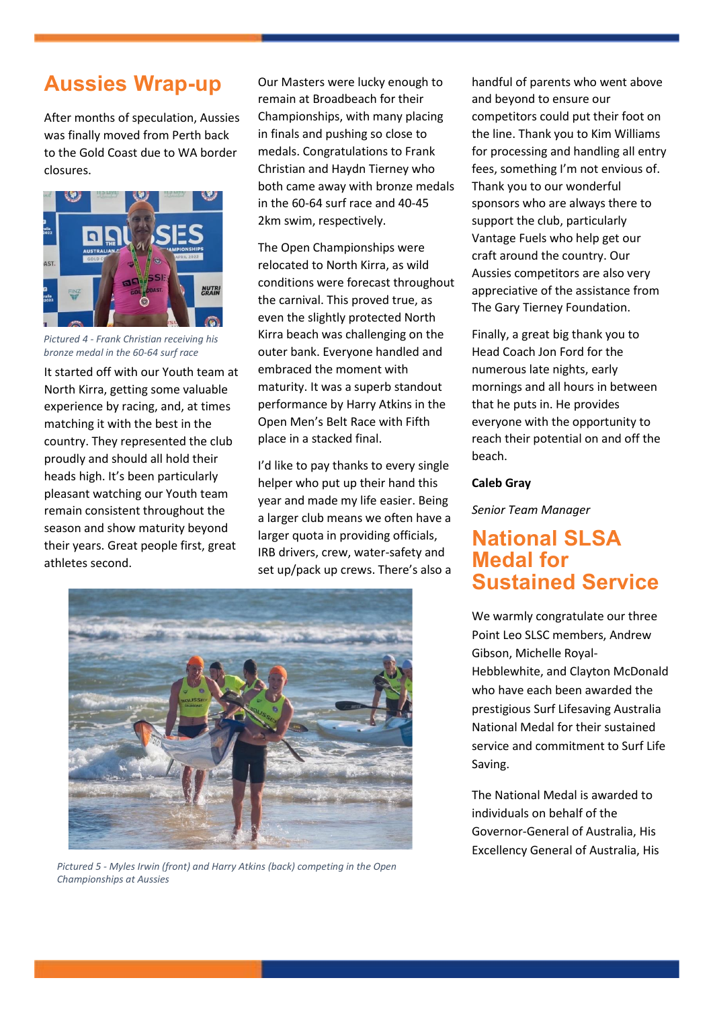# <span id="page-3-0"></span>**Aussies Wrap-up**

After months of speculation, Aussies was finally moved from Perth back to the Gold Coast due to WA border closures.



*Pictured 4 - Frank Christian receiving his bronze medal in the 60-64 surf race*

It started off with our Youth team at North Kirra, getting some valuable experience by racing, and, at times matching it with the best in the country. They represented the club proudly and should all hold their heads high. It's been particularly pleasant watching our Youth team remain consistent throughout the season and show maturity beyond their years. Great people first, great athletes second.

Our Masters were lucky enough to remain at Broadbeach for their Championships, with many placing in finals and pushing so close to medals. Congratulations to Frank Christian and Haydn Tierney who both came away with bronze medals in the 60-64 surf race and 40-45 2km swim, respectively.

The Open Championships were relocated to North Kirra, as wild conditions were forecast throughout the carnival. This proved true, as even the slightly protected North Kirra beach was challenging on the outer bank. Everyone handled and embraced the moment with maturity. It was a superb standout performance by Harry Atkins in the Open Men's Belt Race with Fifth place in a stacked final.

I'd like to pay thanks to every single helper who put up their hand this year and made my life easier. Being a larger club means we often have a larger quota in providing officials, IRB drivers, crew, water-safety and set up/pack up crews. There's also a



*Pictured 5 - Myles Irwin (front) and Harry Atkins (back) competing in the Open Championships at Aussies*

handful of parents who went above and beyond to ensure our competitors could put their foot on the line. Thank you to Kim Williams for processing and handling all entry fees, something I'm not envious of. Thank you to our wonderful sponsors who are always there to support the club, particularly Vantage Fuels who help get our craft around the country. Our Aussies competitors are also very appreciative of the assistance from The Gary Tierney Foundation.

Finally, a great big thank you to Head Coach Jon Ford for the numerous late nights, early mornings and all hours in between that he puts in. He provides everyone with the opportunity to reach their potential on and off the beach.

#### **Caleb Gray**

*Senior Team Manager*

## <span id="page-3-1"></span>**National SLSA Medal for Sustained Service**

We warmly congratulate our three Point Leo SLSC members, Andrew Gibson, Michelle Royal-Hebblewhite, and Clayton McDonald who have each been awarded the prestigious Surf Lifesaving Australia National Medal for their sustained service and commitment to Surf Life Saving.

The National Medal is awarded to individuals on behalf of the Governor-General of Australia, His Excellency General of Australia, His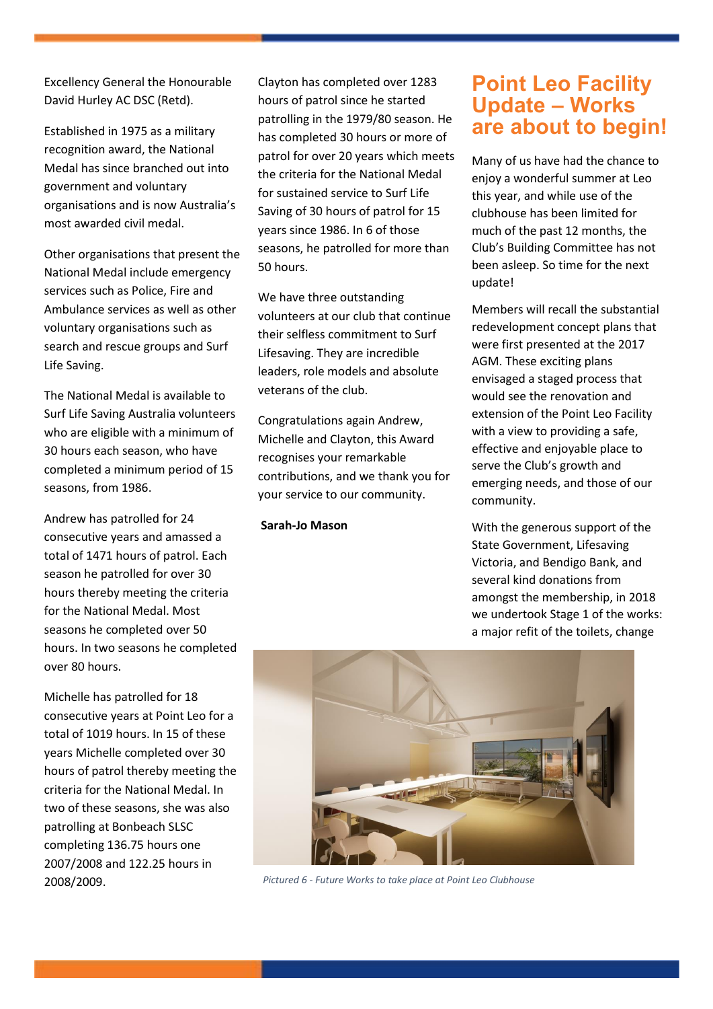Excellency General the Honourable David Hurley AC DSC (Retd).

Established in 1975 as a military recognition award, the National Medal has since branched out into government and voluntary organisations and is now Australia's most awarded civil medal.

Other organisations that present the National Medal include emergency services such as Police, Fire and Ambulance services as well as other voluntary organisations such as search and rescue groups and Surf Life Saving.

The National Medal is available to Surf Life Saving Australia volunteers who are eligible with a minimum of 30 hours each season, who have completed a minimum period of 15 seasons, from 1986.

Andrew has patrolled for 24 consecutive years and amassed a total of 1471 hours of patrol. Each season he patrolled for over 30 hours thereby meeting the criteria for the National Medal. Most seasons he completed over 50 hours. In two seasons he completed over 80 hours.

Michelle has patrolled for 18 consecutive years at Point Leo for a total of 1019 hours. In 15 of these years Michelle completed over 30 hours of patrol thereby meeting the criteria for the National Medal. In two of these seasons, she was also patrolling at Bonbeach SLSC completing 136.75 hours one 2007/2008 and 122.25 hours in 2008/2009.

Clayton has completed over 1283 hours of patrol since he started patrolling in the 1979/80 season. He has completed 30 hours or more of patrol for over 20 years which meets the criteria for the National Medal for sustained service to Surf Life Saving of 30 hours of patrol for 15 years since 1986. In 6 of those seasons, he patrolled for more than 50 hours.

We have three outstanding volunteers at our club that continue their selfless commitment to Surf Lifesaving. They are incredible leaders, role models and absolute veterans of the club.

Congratulations again Andrew, Michelle and Clayton, this Award recognises your remarkable contributions, and we thank you for your service to our community.

**Sarah-Jo Mason**

## <span id="page-4-0"></span>**Point Leo Facility Update – Works are about to begin!**

Many of us have had the chance to enjoy a wonderful summer at Leo this year, and while use of the clubhouse has been limited for much of the past 12 months, the Club's Building Committee has not been asleep. So time for the next update!

Members will recall the substantial redevelopment concept plans that were first presented at the 2017 AGM. These exciting plans envisaged a staged process that would see the renovation and extension of the Point Leo Facility with a view to providing a safe, effective and enjoyable place to serve the Club's growth and emerging needs, and those of our community.

With the generous support of the State Government, Lifesaving Victoria, and Bendigo Bank, and several kind donations from amongst the membership, in 2018 we undertook Stage 1 of the works: a major refit of the toilets, change



*Pictured 6 - Future Works to take place at Point Leo Clubhouse*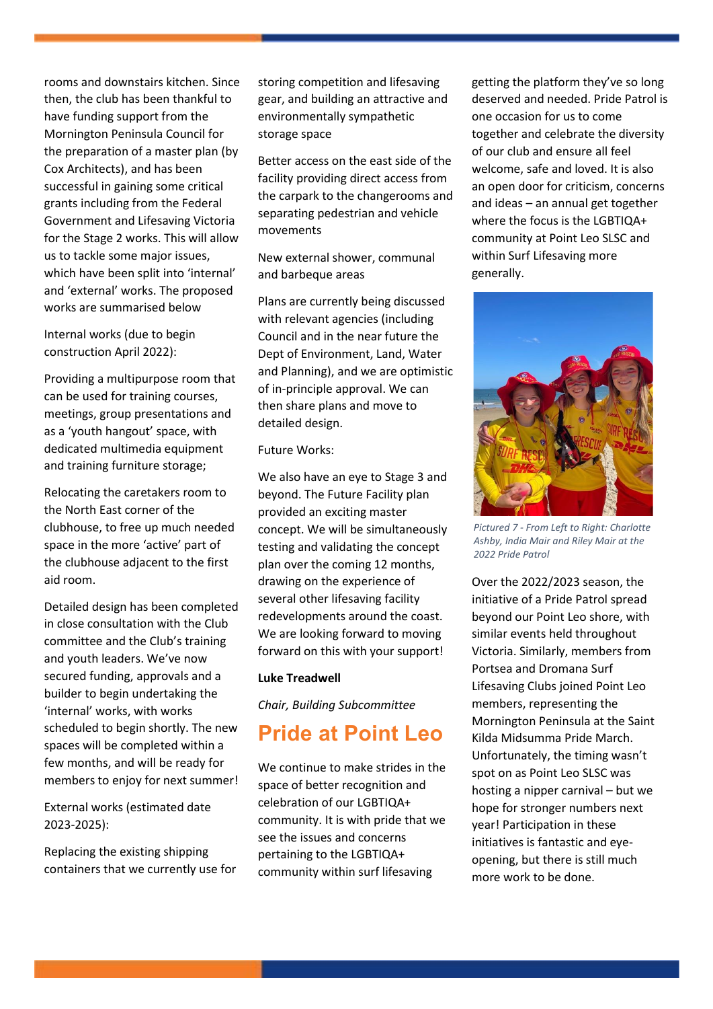rooms and downstairs kitchen. Since then, the club has been thankful to have funding support from the Mornington Peninsula Council for the preparation of a master plan (by Cox Architects), and has been successful in gaining some critical grants including from the Federal Government and Lifesaving Victoria for the Stage 2 works. This will allow us to tackle some major issues, which have been split into 'internal' and 'external' works. The proposed works are summarised below

Internal works (due to begin construction April 2022):

Providing a multipurpose room that can be used for training courses, meetings, group presentations and as a 'youth hangout' space, with dedicated multimedia equipment and training furniture storage;

Relocating the caretakers room to the North East corner of the clubhouse, to free up much needed space in the more 'active' part of the clubhouse adjacent to the first aid room.

Detailed design has been completed in close consultation with the Club committee and the Club's training and youth leaders. We've now secured funding, approvals and a builder to begin undertaking the 'internal' works, with works scheduled to begin shortly. The new spaces will be completed within a few months, and will be ready for members to enjoy for next summer!

External works (estimated date 2023-2025):

Replacing the existing shipping containers that we currently use for storing competition and lifesaving gear, and building an attractive and environmentally sympathetic storage space

Better access on the east side of the facility providing direct access from the carpark to the changerooms and separating pedestrian and vehicle movements

New external shower, communal and barbeque areas

Plans are currently being discussed with relevant agencies (including Council and in the near future the Dept of Environment, Land, Water and Planning), and we are optimistic of in-principle approval. We can then share plans and move to detailed design.

#### Future Works:

We also have an eye to Stage 3 and beyond. The Future Facility plan provided an exciting master concept. We will be simultaneously testing and validating the concept plan over the coming 12 months, drawing on the experience of several other lifesaving facility redevelopments around the coast. We are looking forward to moving forward on this with your support!

#### **Luke Treadwell**

*Chair, Building Subcommittee* 

# <span id="page-5-0"></span>**Pride at Point Leo**

We continue to make strides in the space of better recognition and celebration of our LGBTIQA+ community. It is with pride that we see the issues and concerns pertaining to the LGBTIQA+ community within surf lifesaving

getting the platform they've so long deserved and needed. Pride Patrol is one occasion for us to come together and celebrate the diversity of our club and ensure all feel welcome, safe and loved. It is also an open door for criticism, concerns and ideas – an annual get together where the focus is the LGBTIQA+ community at Point Leo SLSC and within Surf Lifesaving more generally.



*Pictured 7 - From Left to Right: Charlotte Ashby, India Mair and Riley Mair at the 2022 Pride Patrol*

Over the 2022/2023 season, the initiative of a Pride Patrol spread beyond our Point Leo shore, with similar events held throughout Victoria. Similarly, members from Portsea and Dromana Surf Lifesaving Clubs joined Point Leo members, representing the Mornington Peninsula at the Saint Kilda Midsumma Pride March. Unfortunately, the timing wasn't spot on as Point Leo SLSC was hosting a nipper carnival – but we hope for stronger numbers next year! Participation in these initiatives is fantastic and eyeopening, but there is still much more work to be done.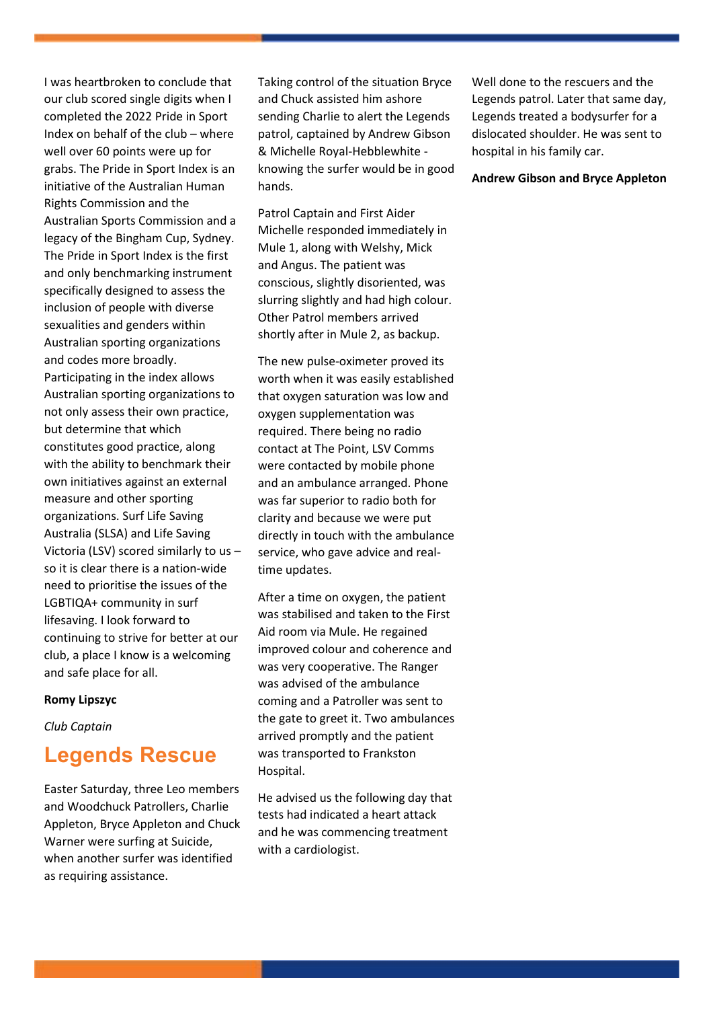I was heartbroken to conclude that our club scored single digits when I completed the 2022 Pride in Sport Index on behalf of the club – where well over 60 points were up for grabs. The Pride in Sport Index is an initiative of the Australian Human Rights Commission and the Australian Sports Commission and a legacy of the Bingham Cup, Sydney. The Pride in Sport Index is the first and only benchmarking instrument specifically designed to assess the inclusion of people with diverse sexualities and genders within Australian sporting organizations and codes more broadly. Participating in the index allows Australian sporting organizations to not only assess their own practice, but determine that which constitutes good practice, along with the ability to benchmark their own initiatives against an external measure and other sporting organizations. Surf Life Saving Australia (SLSA) and Life Saving Victoria (LSV) scored similarly to us – so it is clear there is a nation-wide need to prioritise the issues of the LGBTIQA+ community in surf lifesaving. I look forward to continuing to strive for better at our club, a place I know is a welcoming and safe place for all.

#### **Romy Lipszyc**

*Club Captain*

### <span id="page-6-0"></span>**Legends Rescue**

Easter Saturday, three Leo members and Woodchuck Patrollers, Charlie Appleton, Bryce Appleton and Chuck Warner were surfing at Suicide, when another surfer was identified as requiring assistance.

Taking control of the situation Bryce and Chuck assisted him ashore sending Charlie to alert the Legends patrol, captained by Andrew Gibson & Michelle Royal-Hebblewhite knowing the surfer would be in good hands.

Patrol Captain and First Aider Michelle responded immediately in Mule 1, along with Welshy, Mick and Angus. The patient was conscious, slightly disoriented, was slurring slightly and had high colour. Other Patrol members arrived shortly after in Mule 2, as backup.

The new pulse-oximeter proved its worth when it was easily established that oxygen saturation was low and oxygen supplementation was required. There being no radio contact at The Point, LSV Comms were contacted by mobile phone and an ambulance arranged. Phone was far superior to radio both for clarity and because we were put directly in touch with the ambulance service, who gave advice and realtime updates.

After a time on oxygen, the patient was stabilised and taken to the First Aid room via Mule. He regained improved colour and coherence and was very cooperative. The Ranger was advised of the ambulance coming and a Patroller was sent to the gate to greet it. Two ambulances arrived promptly and the patient was transported to Frankston Hospital.

He advised us the following day that tests had indicated a heart attack and he was commencing treatment with a cardiologist.

Well done to the rescuers and the Legends patrol. Later that same day, Legends treated a bodysurfer for a dislocated shoulder. He was sent to hospital in his family car.

#### **Andrew Gibson and Bryce Appleton**